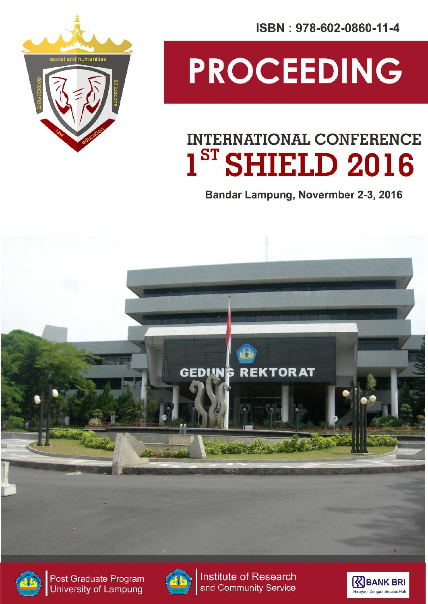ISBN: 978-602-0860-11-4



# PROCEEDING

### **INTERNATIONAL CONFERENCE**  $1<sup>ST</sup>$  SHIELD 2016

Bandar Lampung, Novermber 2-3, 2016





Post Graduate Program University of Lampung



Institute of Research and Community Service

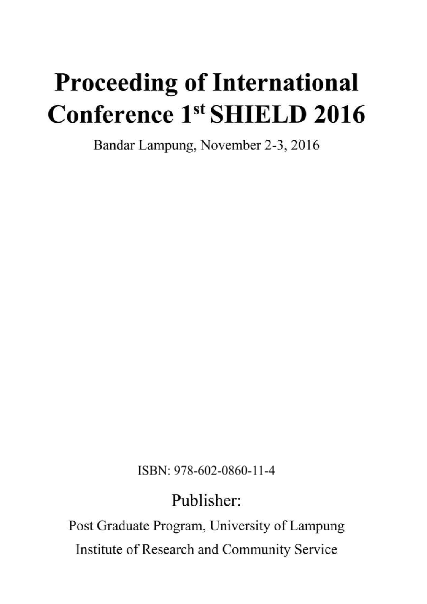## **Proceeding of International** Conference 1st SHIELD 2016

Bandar Lampung, November 2-3, 2016

ISBN: 978-602-0860-11-4

### Publisher:

Post Graduate Program, University of Lampung Institute of Research and Community Service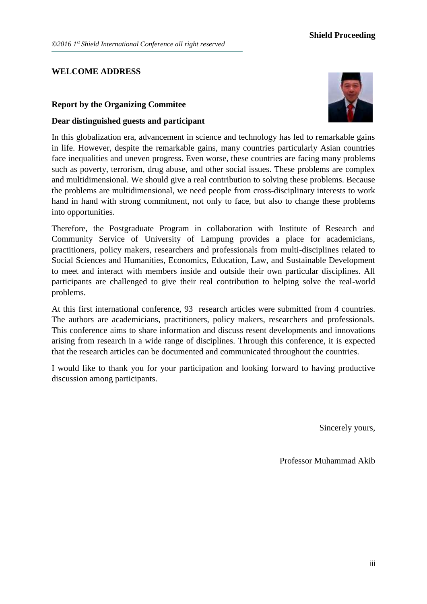#### **WELCOME ADDRESS**

#### **Report by the Organizing Commitee**

#### **Dear distinguished guests and participant**



In this globalization era, advancement in science and technology has led to remarkable gains in life. However, despite the remarkable gains, many countries particularly Asian countries face inequalities and uneven progress. Even worse, these countries are facing many problems such as poverty, terrorism, drug abuse, and other social issues. These problems are complex and multidimensional. We should give a real contribution to solving these problems. Because the problems are multidimensional, we need people from cross-disciplinary interests to work hand in hand with strong commitment, not only to face, but also to change these problems into opportunities.

Therefore, the Postgraduate Program in collaboration with Institute of Research and Community Service of University of Lampung provides a place for academicians, practitioners, policy makers, researchers and professionals from multi-disciplines related to Social Sciences and Humanities, Economics, Education, Law, and Sustainable Development to meet and interact with members inside and outside their own particular disciplines. All participants are challenged to give their real contribution to helping solve the real-world problems.

At this first international conference, 93 research articles were submitted from 4 countries. The authors are academicians, practitioners, policy makers, researchers and professionals. This conference aims to share information and discuss resent developments and innovations arising from research in a wide range of disciplines. Through this conference, it is expected that the research articles can be documented and communicated throughout the countries.

I would like to thank you for your participation and looking forward to having productive discussion among participants.

Sincerely yours,

Professor Muhammad Akib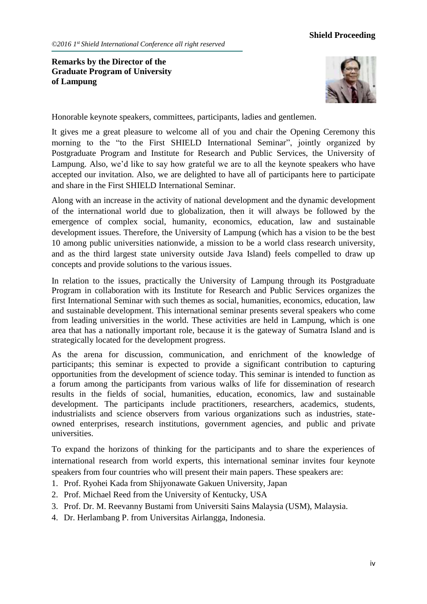**Remarks by the Director of the Graduate Program of University of Lampung**



Honorable keynote speakers, committees, participants, ladies and gentlemen.

It gives me a great pleasure to welcome all of you and chair the Opening Ceremony this morning to the "to the First SHIELD International Seminar", jointly organized by Postgraduate Program and Institute for Research and Public Services, the University of Lampung. Also, we'd like to say how grateful we are to all the keynote speakers who have accepted our invitation. Also, we are delighted to have all of participants here to participate and share in the First SHIELD International Seminar.

Along with an increase in the activity of national development and the dynamic development of the international world due to globalization, then it will always be followed by the emergence of complex social, humanity, economics, education, law and sustainable development issues. Therefore, the University of Lampung (which has a vision to be the best 10 among public universities nationwide, a mission to be a world class research university, and as the third largest state university outside Java Island) feels compelled to draw up concepts and provide solutions to the various issues.

In relation to the issues, practically the University of Lampung through its Postgraduate Program in collaboration with its Institute for Research and Public Services organizes the first International Seminar with such themes as social, humanities, economics, education, law and sustainable development. This international seminar presents several speakers who come from leading universities in the world. These activities are held in Lampung, which is one area that has a nationally important role, because it is the gateway of Sumatra Island and is strategically located for the development progress.

As the arena for discussion, communication, and enrichment of the knowledge of participants; this seminar is expected to provide a significant contribution to capturing opportunities from the development of science today. This seminar is intended to function as a forum among the participants from various walks of life for dissemination of research results in the fields of social, humanities, education, economics, law and sustainable development. The participants include practitioners, researchers, academics, students, industrialists and science observers from various organizations such as industries, stateowned enterprises, research institutions, government agencies, and public and private universities.

To expand the horizons of thinking for the participants and to share the experiences of international research from world experts, this international seminar invites four keynote speakers from four countries who will present their main papers. These speakers are:

- 1. Prof. Ryohei Kada from Shijyonawate Gakuen University, Japan
- 2. Prof. Michael Reed from the University of Kentucky, USA
- 3. Prof. Dr. M. Reevanny Bustami from Universiti Sains Malaysia (USM), Malaysia.
- 4. Dr. Herlambang P. from Universitas Airlangga, Indonesia.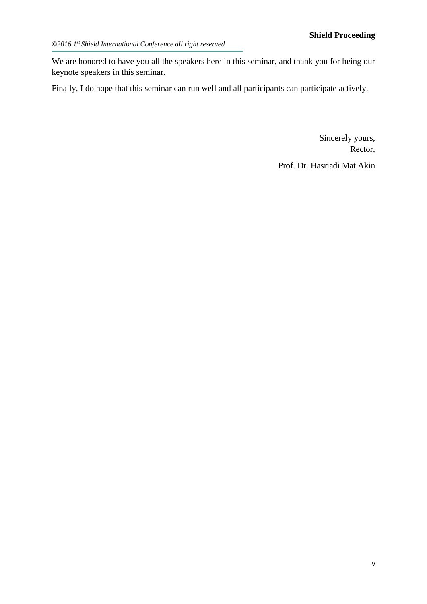We are honored to have you all the speakers here in this seminar, and thank you for being our keynote speakers in this seminar.

Finally, I do hope that this seminar can run well and all participants can participate actively.

Sincerely yours, Rector,

Prof. Dr. Hasriadi Mat Akin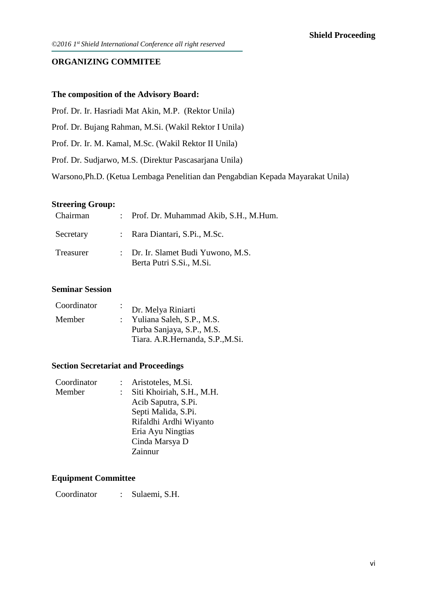#### **ORGANIZING COMMITEE**

#### **The composition of the Advisory Board:**

Prof. Dr. Ir. Hasriadi Mat Akin, M.P. (Rektor Unila)

Prof. Dr. Bujang Rahman, M.Si. (Wakil Rektor I Unila)

Prof. Dr. Ir. M. Kamal, M.Sc. (Wakil Rektor II Unila)

Prof. Dr. Sudjarwo, M.S. (Direktur Pascasarjana Unila)

Warsono,Ph.D. (Ketua Lembaga Penelitian dan Pengabdian Kepada Mayarakat Unila)

#### **Streering Group:**

| Chairman  | : Prof. Dr. Muhammad Akib, S.H., M.Hum.                        |
|-----------|----------------------------------------------------------------|
| Secretary | : Rara Diantari, S.Pi., M.Sc.                                  |
| Treasurer | : Dr. Ir. Slamet Budi Yuwono, M.S.<br>Berta Putri S.Si., M.Si. |

#### **Seminar Session**

| Coordinator | $\mathcal{L}^{\text{max}}$ | Dr. Melya Riniarti               |
|-------------|----------------------------|----------------------------------|
| Member      |                            | : Yuliana Saleh, S.P., M.S.      |
|             |                            | Purba Sanjaya, S.P., M.S.        |
|             |                            | Tiara. A.R.Hernanda, S.P., M.Si. |

#### **Section Secretariat and Proceedings**

| Coordinator | Aristoteles, M.Si.        |
|-------------|---------------------------|
| Member      | Siti Khoiriah, S.H., M.H. |
|             | Acib Saputra, S.Pi.       |
|             | Septi Malida, S.Pi.       |
|             | Rifaldhi Ardhi Wiyanto    |
|             | Eria Ayu Ningtias         |
|             | Cinda Marsya D            |
|             | Zainnur                   |
|             |                           |

#### **Equipment Committee**

Coordinator : Sulaemi, S.H.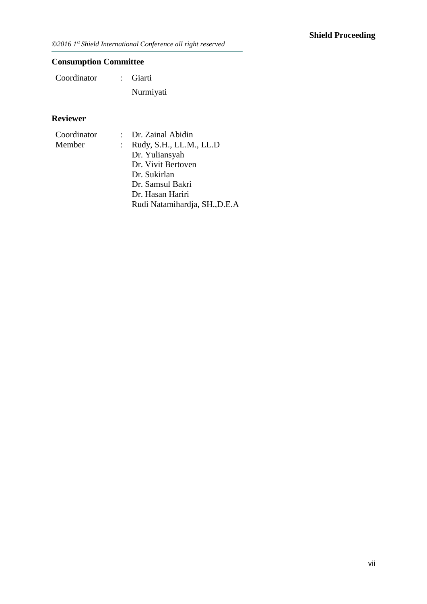*©2016 1st Shield International Conference all right reserved*

#### **Consumption Committee**

Coordinator : Giarti Nurmiyati

#### **Reviewer**

| Coordinator | : Dr. Zainal Abidin           |
|-------------|-------------------------------|
| Member      | Rudy, S.H., LL.M., LL.D       |
|             | Dr. Yuliansyah                |
|             | Dr. Vivit Bertoven            |
|             | Dr. Sukirlan                  |
|             | Dr. Samsul Bakri              |
|             | Dr. Hasan Hariri              |
|             | Rudi Natamihardja, SH., D.E.A |
|             |                               |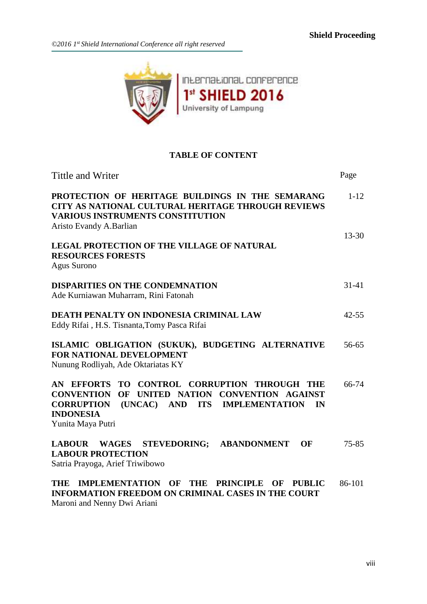

#### **TABLE OF CONTENT**

| Tittle and Writer                                                                                                                                                                                                 | Page      |
|-------------------------------------------------------------------------------------------------------------------------------------------------------------------------------------------------------------------|-----------|
| PROTECTION OF HERITAGE BUILDINGS IN THE SEMARANG<br>CITY AS NATIONAL CULTURAL HERITAGE THROUGH REVIEWS<br><b>VARIOUS INSTRUMENTS CONSTITUTION</b><br>Aristo Evandy A.Barlian                                      | $1 - 12$  |
| <b>LEGAL PROTECTION OF THE VILLAGE OF NATURAL</b><br><b>RESOURCES FORESTS</b><br>Agus Surono                                                                                                                      | $13 - 30$ |
| <b>DISPARITIES ON THE CONDEMNATION</b><br>Ade Kurniawan Muharram, Rini Fatonah                                                                                                                                    | $31-41$   |
| DEATH PENALTY ON INDONESIA CRIMINAL LAW<br>Eddy Rifai, H.S. Tisnanta, Tomy Pasca Rifai                                                                                                                            | $42 - 55$ |
| ISLAMIC OBLIGATION (SUKUK), BUDGETING ALTERNATIVE<br><b>FOR NATIONAL DEVELOPMENT</b><br>Nunung Rodliyah, Ade Oktariatas KY                                                                                        | 56-65     |
| AN EFFORTS TO CONTROL CORRUPTION THROUGH THE<br><b>CONVENTION</b><br>OF<br>UNITED NATION CONVENTION AGAINST<br>(UNCAC) AND ITS IMPLEMENTATION<br><b>CORRUPTION</b><br>IN<br><b>INDONESIA</b><br>Yunita Maya Putri | 66-74     |
| LABOUR WAGES<br><b>STEVEDORING;</b><br><b>ABANDONMENT</b><br>OF<br><b>LABOUR PROTECTION</b><br>Satria Prayoga, Arief Triwibowo                                                                                    | 75-85     |
| IMPLEMENTATION OF THE<br>PRINCIPLE OF<br>THE<br><b>PHRIT<math>\Gamma</math></b>                                                                                                                                   | 86-101    |

**THE IMPLEMENTATION OF THE PRINCIPLE OF PUBLIC INFORMATION FREEDOM ON CRIMINAL CASES IN THE COURT** 86-101 Maroni and Nenny Dwi Ariani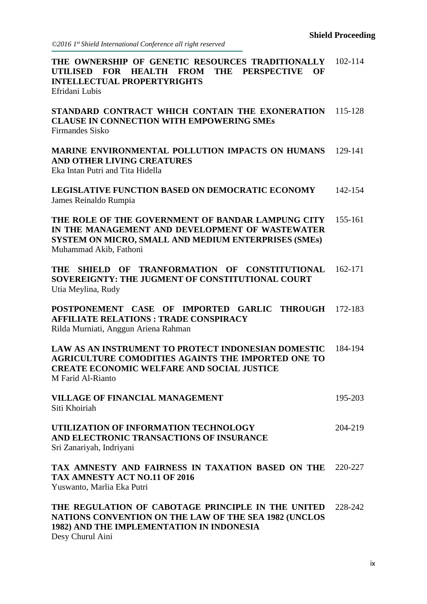*©2016 1st Shield International Conference all right reserved*

| THE OWNERSHIP OF GENETIC RESOURCES TRADITIONALLY 102-114<br><b>FOR</b><br><b>HEALTH</b><br><b>FROM</b><br>THE<br><b>PERSPECTIVE</b><br><b>UTILISED</b><br>OF<br><b>INTELLECTUAL PROPERTYRIGHTS</b><br>Efridani Lubis |         |
|----------------------------------------------------------------------------------------------------------------------------------------------------------------------------------------------------------------------|---------|
| STANDARD CONTRACT WHICH CONTAIN THE EXONERATION<br><b>CLAUSE IN CONNECTION WITH EMPOWERING SMEs</b><br><b>Firmandes Sisko</b>                                                                                        | 115-128 |
| MARINE ENVIRONMENTAL POLLUTION IMPACTS ON HUMANS<br>AND OTHER LIVING CREATURES<br>Eka Intan Putri and Tita Hidella                                                                                                   | 129-141 |
| LEGISLATIVE FUNCTION BASED ON DEMOCRATIC ECONOMY<br>James Reinaldo Rumpia                                                                                                                                            | 142-154 |
| THE ROLE OF THE GOVERNMENT OF BANDAR LAMPUNG CITY<br>IN THE MANAGEMENT AND DEVELOPMENT OF WASTEWATER<br>SYSTEM ON MICRO, SMALL AND MEDIUM ENTERPRISES (SMEs)<br>Muhammad Akib, Fathoni                               | 155-161 |
| OF TRANFORMATION OF<br><b>CONSTITUTIONAL</b><br><b>THE</b><br><b>SHIELD</b><br><b>SOVEREIGNTY: THE JUGMENT OF CONSTITUTIONAL COURT</b><br>Utia Meylina, Rudy                                                         | 162-171 |
| POSTPONEMENT CASE OF IMPORTED GARLIC THROUGH 172-183<br><b>AFFILIATE RELATIONS: TRADE CONSPIRACY</b><br>Rilda Murniati, Anggun Ariena Rahman                                                                         |         |
| <b>LAW AS AN INSTRUMENT TO PROTECT INDONESIAN DOMESTIC</b><br><b>AGRICULTURE COMODITIES AGAINTS THE IMPORTED ONE TO</b><br><b>CREATE ECONOMIC WELFARE AND SOCIAL JUSTICE</b><br>M Farid Al-Rianto                    | 184-194 |
| <b>VILLAGE OF FINANCIAL MANAGEMENT</b><br>Siti Khoiriah                                                                                                                                                              | 195-203 |
| UTILIZATION OF INFORMATION TECHNOLOGY<br>AND ELECTRONIC TRANSACTIONS OF INSURANCE<br>Sri Zanariyah, Indriyani                                                                                                        | 204-219 |
| TAX AMNESTY AND FAIRNESS IN TAXATION BASED ON THE 220-227<br>TAX AMNESTY ACT NO.11 OF 2016<br>Yuswanto, Marlia Eka Putri                                                                                             |         |
| THE REGULATION OF CABOTAGE PRINCIPLE IN THE UNITED<br>NATIONS CONVENTION ON THE LAW OF THE SEA 1982 (UNCLOS<br>1982) AND THE IMPLEMENTATION IN INDONESIA<br>$D_{0.01}$ Chumil Aini                                   | 228-242 |

Desy Churul Aini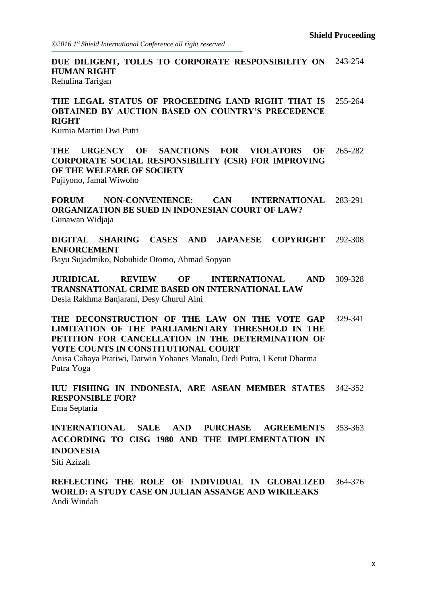**DUE DILIGENT, TOLLS TO CORPORATE RESPONSIBILITY ON HUMAN RIGHT** 243-254 Rehulina Tarigan

**THE LEGAL STATUS OF PROCEEDING LAND RIGHT THAT IS OBTAINED BY AUCTION BASED ON COUNTRY'S PRECEDENCE RIGHT** 255-264

Kurnia Martini Dwi Putri

**THE URGENCY OF SANCTIONS FOR VIOLATORS OF CORPORATE SOCIAL RESPONSIBILITY (CSR) FOR IMPROVING OF THE WELFARE OF SOCIETY** 265-282

Pujiyono, Jamal Wiwoho

**FORUM NON-CONVENIENCE: CAN INTERNATIONAL ORGANIZATION BE SUED IN INDONESIAN COURT OF LAW?** 283-291 Gunawan Widjaja

**DIGITAL SHARING CASES AND JAPANESE COPYRIGHT ENFORCEMENT** 292-308 Bayu Sujadmiko, Nobuhide Otomo, Ahmad Sopyan

**JURIDICAL REVIEW OF INTERNATIONAL AND TRANSNATIONAL CRIME BASED ON INTERNATIONAL LAW** 309-328 Desia Rakhma Banjarani, Desy Churul Aini

**THE DECONSTRUCTION OF THE LAW ON THE VOTE GAP LIMITATION OF THE PARLIAMENTARY THRESHOLD IN THE PETITION FOR CANCELLATION IN THE DETERMINATION OF VOTE COUNTS IN CONSTITUTIONAL COURT** 329-341

Anisa Cahaya Pratiwi, Darwin Yohanes Manalu, Dedi Putra, I Ketut Dharma Putra Yoga

**IUU FISHING IN INDONESIA, ARE ASEAN MEMBER STATES RESPONSIBLE FOR?** 342-352 Ema Septaria

**INTERNATIONAL SALE AND PURCHASE AGREEMENTS ACCORDING TO CISG 1980 AND THE IMPLEMENTATION IN INDONESIA** 353-363 Siti Azizah

**REFLECTING THE ROLE OF INDIVIDUAL IN GLOBALIZED WORLD: A STUDY CASE ON JULIAN ASSANGE AND WIKILEAKS** 364-376 Andi Windah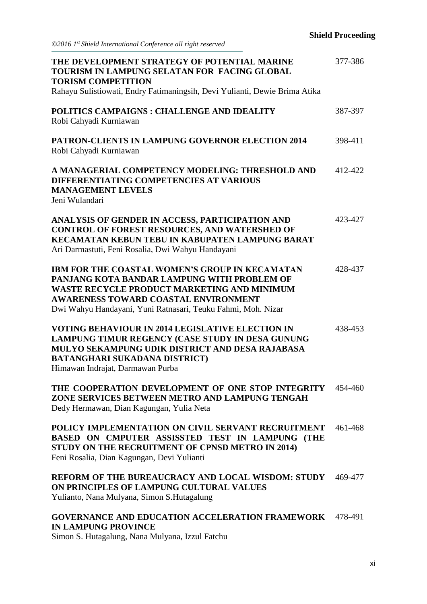| THE DEVELOPMENT STRATEGY OF POTENTIAL MARINE<br>TOURISM IN LAMPUNG SELATAN FOR FACING GLOBAL<br><b>TORISM COMPETITION</b><br>Rahayu Sulistiowati, Endry Fatimaningsih, Devi Yulianti, Dewie Brima Atika                                                                   | 377-386 |
|---------------------------------------------------------------------------------------------------------------------------------------------------------------------------------------------------------------------------------------------------------------------------|---------|
| POLITICS CAMPAIGNS : CHALLENGE AND IDEALITY<br>Robi Cahyadi Kurniawan                                                                                                                                                                                                     | 387-397 |
| PATRON-CLIENTS IN LAMPUNG GOVERNOR ELECTION 2014<br>Robi Cahyadi Kurniawan                                                                                                                                                                                                | 398-411 |
| A MANAGERIAL COMPETENCY MODELING: THRESHOLD AND<br>DIFFERENTIATING COMPETENCIES AT VARIOUS<br><b>MANAGEMENT LEVELS</b><br>Jeni Wulandari                                                                                                                                  | 412-422 |
| ANALYSIS OF GENDER IN ACCESS, PARTICIPATION AND<br><b>CONTROL OF FOREST RESOURCES, AND WATERSHED OF</b><br>KECAMATAN KEBUN TEBU IN KABUPATEN LAMPUNG BARAT<br>Ari Darmastuti, Feni Rosalia, Dwi Wahyu Handayani                                                           | 423-427 |
| <b>IBM FOR THE COASTAL WOMEN'S GROUP IN KECAMATAN</b><br>PANJANG KOTA BANDAR LAMPUNG WITH PROBLEM OF<br><b>WASTE RECYCLE PRODUCT MARKETING AND MINIMUM</b><br><b>AWARENESS TOWARD COASTAL ENVIRONMENT</b><br>Dwi Wahyu Handayani, Yuni Ratnasari, Teuku Fahmi, Moh. Nizar | 428-437 |
| <b>VOTING BEHAVIOUR IN 2014 LEGISLATIVE ELECTION IN</b><br>LAMPUNG TIMUR REGENCY (CASE STUDY IN DESA GUNUNG<br>MULYO SEKAMPUNG UDIK DISTRICT AND DESA RAJABASA<br><b>BATANGHARI SUKADANA DISTRICT)</b><br>Himawan Indrajat, Darmawan Purba                                | 438-453 |
| THE COOPERATION DEVELOPMENT OF ONE STOP INTEGRITY 454-460<br>ZONE SERVICES BETWEEN METRO AND LAMPUNG TENGAH<br>Dedy Hermawan, Dian Kagungan, Yulia Neta                                                                                                                   |         |
| POLICY IMPLEMENTATION ON CIVIL SERVANT RECRUITMENT<br>BASED ON CMPUTER ASSISSTED TEST IN LAMPUNG (THE<br>STUDY ON THE RECRUITMENT OF CPNSD METRO IN 2014)<br>Feni Rosalia, Dian Kagungan, Devi Yulianti                                                                   | 461-468 |
| REFORM OF THE BUREAUCRACY AND LOCAL WISDOM: STUDY 469-477<br>ON PRINCIPLES OF LAMPUNG CULTURAL VALUES<br>Yulianto, Nana Mulyana, Simon S.Hutagalung                                                                                                                       |         |
| <b>GOVERNANCE AND EDUCATION ACCELERATION FRAMEWORK</b><br><b>IN LAMPUNG PROVINCE</b>                                                                                                                                                                                      | 478-491 |

Simon S. Hutagalung, Nana Mulyana, Izzul Fatchu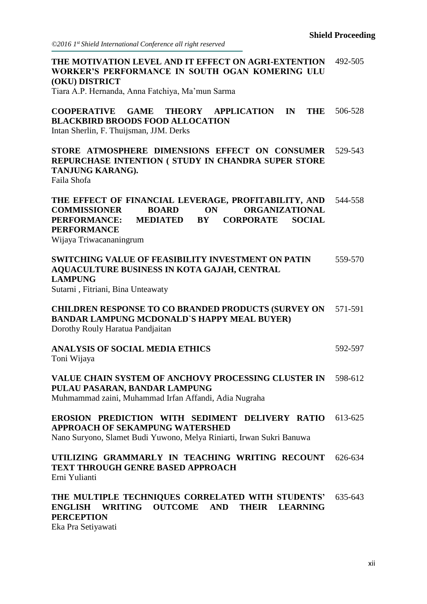*©2016 1st Shield International Conference all right reserved*

| THE MOTIVATION LEVEL AND IT EFFECT ON AGRI-EXTENTION<br>WORKER'S PERFORMANCE IN SOUTH OGAN KOMERING ULU<br><b>(OKU) DISTRICT</b><br>Tiara A.P. Hernanda, Anna Fatchiya, Ma'mun Sarma                                                                       | 492-505 |
|------------------------------------------------------------------------------------------------------------------------------------------------------------------------------------------------------------------------------------------------------------|---------|
| <b>APPLICATION</b><br><b>COOPERATIVE GAME</b><br><b>THEORY</b><br>$\mathbf{IN}$<br>THE<br><b>BLACKBIRD BROODS FOOD ALLOCATION</b><br>Intan Sherlin, F. Thuijsman, JJM. Derks                                                                               | 506-528 |
| STORE ATMOSPHERE DIMENSIONS EFFECT ON CONSUMER<br>REPURCHASE INTENTION ( STUDY IN CHANDRA SUPER STORE<br>TANJUNG KARANG).<br>Faila Shofa                                                                                                                   | 529-543 |
| THE EFFECT OF FINANCIAL LEVERAGE, PROFITABILITY, AND<br><b>ORGANIZATIONAL</b><br><b>BOARD</b><br><b>ON</b><br><b>COMMISSIONER</b><br><b>PERFORMANCE:</b><br><b>MEDIATED BY</b><br><b>CORPORATE SOCIAL</b><br><b>PERFORMANCE</b><br>Wijaya Triwacananingrum | 544-558 |
| SWITCHING VALUE OF FEASIBILITY INVESTMENT ON PATIN<br><b>AQUACULTURE BUSINESS IN KOTA GAJAH, CENTRAL</b><br><b>LAMPUNG</b><br>Sutarni, Fitriani, Bina Unteawaty                                                                                            | 559-570 |
| <b>CHILDREN RESPONSE TO CO BRANDED PRODUCTS (SURVEY ON</b><br><b>BANDAR LAMPUNG MCDONALD'S HAPPY MEAL BUYER)</b><br>Dorothy Rouly Haratua Pandjaitan                                                                                                       | 571-591 |
| <b>ANALYSIS OF SOCIAL MEDIA ETHICS</b><br>Toni Wijaya                                                                                                                                                                                                      | 592-597 |
| VALUE CHAIN SYSTEM OF ANCHOVY PROCESSING CLUSTER IN 598-612<br>PULAU PASARAN, BANDAR LAMPUNG<br>Muhmammad zaini, Muhammad Irfan Affandi, Adia Nugraha                                                                                                      |         |
| <b>EROSION PREDICTION WITH SEDIMENT DELIVERY RATIO 613-625</b><br><b>APPROACH OF SEKAMPUNG WATERSHED</b><br>Nano Suryono, Slamet Budi Yuwono, Melya Riniarti, Irwan Sukri Banuwa                                                                           |         |
| UTILIZING GRAMMARLY IN TEACHING WRITING RECOUNT 626-634<br><b>TEXT THROUGH GENRE BASED APPROACH</b><br>Erni Yulianti                                                                                                                                       |         |
| THE MULTIPLE TECHNIQUES CORRELATED WITH STUDENTS'<br>ENGLISH WRITING OUTCOME AND<br>THEIR LEARNING<br><b>PERCEPTION</b><br>$\Gamma$ <sub>ke</sub> $D_{\text{eq}}$ $\Gamma_{\text{obirrantidi}}$                                                            | 635-643 |

Eka Pra Setiyawati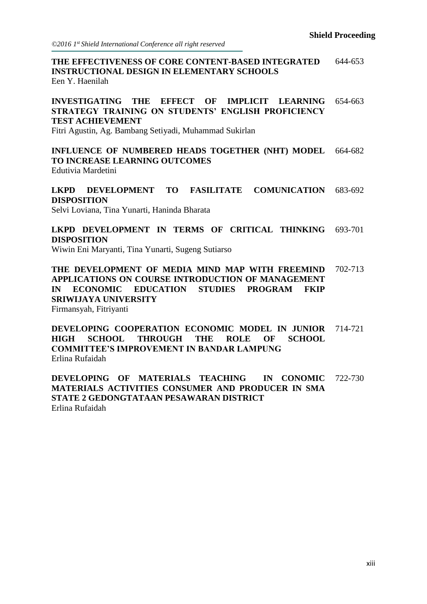**THE EFFECTIVENESS OF CORE CONTENT-BASED INTEGRATED INSTRUCTIONAL DESIGN IN ELEMENTARY SCHOOLS** 644-653 Een Y. Haenilah

**INVESTIGATING THE EFFECT OF IMPLICIT LEARNING STRATEGY TRAINING ON STUDENTS' ENGLISH PROFICIENCY TEST ACHIEVEMENT** 654-663

Fitri Agustin, Ag. Bambang Setiyadi, Muhammad Sukirlan

**INFLUENCE OF NUMBERED HEADS TOGETHER (NHT) MODEL TO INCREASE LEARNING OUTCOMES** 664-682 Edutivia Mardetini

**LKPD DEVELOPMENT TO FASILITATE COMUNICATION DISPOSITION** 683-692 Selvi Loviana, Tina Yunarti, Haninda Bharata

**LKPD DEVELOPMENT IN TERMS OF CRITICAL THINKING DISPOSITION** 693-701

Wiwin Eni Maryanti, Tina Yunarti, Sugeng Sutiarso

**THE DEVELOPMENT OF MEDIA MIND MAP WITH FREEMIND APPLICATIONS ON COURSE INTRODUCTION OF MANAGEMENT IN ECONOMIC EDUCATION STUDIES PROGRAM FKIP SRIWIJAYA UNIVERSITY** 702-713 Firmansyah, Fitriyanti

**DEVELOPING COOPERATION ECONOMIC MODEL IN JUNIOR HIGH SCHOOL THROUGH THE ROLE OF SCHOOL COMMITTEE'S IMPROVEMENT IN BANDAR LAMPUNG** 714-721 Erlina Rufaidah

**DEVELOPING OF MATERIALS TEACHING IN CONOMIC MATERIALS ACTIVITIES CONSUMER AND PRODUCER IN SMA STATE 2 GEDONGTATAAN PESAWARAN DISTRICT** 722-730 Erlina Rufaidah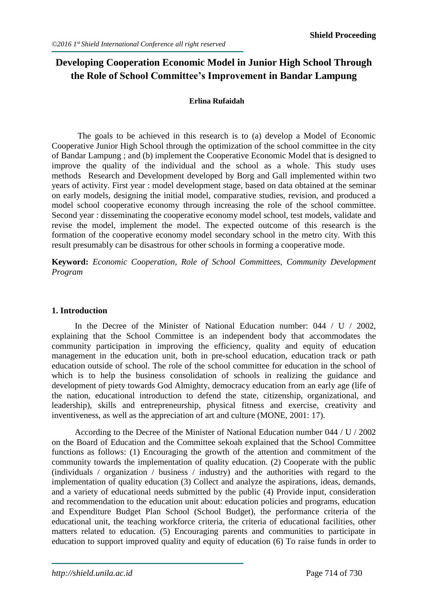#### **Developing Cooperation Economic Model in Junior High School Through the Role of School Committee's Improvement in Bandar Lampung**

#### **Erlina Rufaidah**

The goals to be achieved in this research is to (a) develop a Model of Economic Cooperative Junior High School through the optimization of the school committee in the city of Bandar Lampung ; and (b) implement the Cooperative Economic Model that is designed to improve the quality of the individual and the school as a whole. This study uses methods Research and Development developed by Borg and Gall implemented within two years of activity. First year : model development stage, based on data obtained at the seminar on early models, designing the initial model, comparative studies, revision, and produced a model school cooperative economy through increasing the role of the school committee. Second year : disseminating the cooperative economy model school, test models, validate and revise the model, implement the model. The expected outcome of this research is the formation of the cooperative economy model secondary school in the metro city. With this result presumably can be disastrous for other schools in forming a cooperative mode.

**Keyword:** *Economic Cooperation, Role of School Committees, Community Development Program*

#### **1. Introduction**

In the Decree of the Minister of National Education number: 044 / U / 2002, explaining that the School Committee is an independent body that accommodates the community participation in improving the efficiency, quality and equity of education management in the education unit, both in pre-school education, education track or path education outside of school. The role of the school committee for education in the school of which is to help the business consolidation of schools in realizing the guidance and development of piety towards God Almighty, democracy education from an early age (life of the nation, educational introduction to defend the state, citizenship, organizational, and leadership), skills and entrepreneurship, physical fitness and exercise, creativity and inventiveness, as well as the appreciation of art and culture (MONE, 2001: 17).

According to the Decree of the Minister of National Education number 044 / U / 2002 on the Board of Education and the Committee sekoah explained that the School Committee functions as follows: (1) Encouraging the growth of the attention and commitment of the community towards the implementation of quality education. (2) Cooperate with the public (individuals / organization / business / industry) and the authorities with regard to the implementation of quality education (3) Collect and analyze the aspirations, ideas, demands, and a variety of educational needs submitted by the public (4) Provide input, consideration and recommendation to the education unit about: education policies and programs, education and Expenditure Budget Plan School (School Budget), the performance criteria of the educational unit, the teaching workforce criteria, the criteria of educational facilities, other matters related to education. (5) Encouraging parents and communities to participate in education to support improved quality and equity of education (6) To raise funds in order to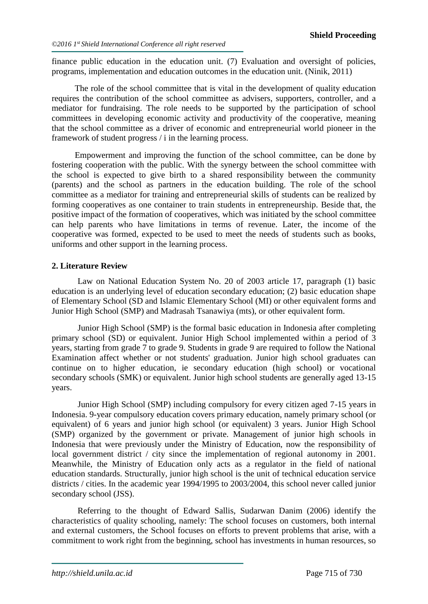finance public education in the education unit. (7) Evaluation and oversight of policies, programs, implementation and education outcomes in the education unit. (Ninik, 2011)

The role of the school committee that is vital in the development of quality education requires the contribution of the school committee as advisers, supporters, controller, and a mediator for fundraising. The role needs to be supported by the participation of school committees in developing economic activity and productivity of the cooperative, meaning that the school committee as a driver of economic and entrepreneurial world pioneer in the framework of student progress / i in the learning process.

Empowerment and improving the function of the school committee, can be done by fostering cooperation with the public. With the synergy between the school committee with the school is expected to give birth to a shared responsibility between the community (parents) and the school as partners in the education building. The role of the school committee as a mediator for training and entrepreneurial skills of students can be realized by forming cooperatives as one container to train students in entrepreneurship. Beside that, the positive impact of the formation of cooperatives, which was initiated by the school committee can help parents who have limitations in terms of revenue. Later, the income of the cooperative was formed, expected to be used to meet the needs of students such as books, uniforms and other support in the learning process.

#### **2. Literature Review**

Law on National Education System No. 20 of 2003 article 17, paragraph (1) basic education is an underlying level of education secondary education; (2) basic education shape of Elementary School (SD and Islamic Elementary School (MI) or other equivalent forms and Junior High School (SMP) and Madrasah Tsanawiya (mts), or other equivalent form.

Junior High School (SMP) is the formal basic education in Indonesia after completing primary school (SD) or equivalent. Junior High School implemented within a period of 3 years, starting from grade 7 to grade 9. Students in grade 9 are required to follow the National Examination affect whether or not students' graduation. Junior high school graduates can continue on to higher education, ie secondary education (high school) or vocational secondary schools (SMK) or equivalent. Junior high school students are generally aged 13-15 years.

Junior High School (SMP) including compulsory for every citizen aged 7-15 years in Indonesia. 9-year compulsory education covers primary education, namely primary school (or equivalent) of 6 years and junior high school (or equivalent) 3 years. Junior High School (SMP) organized by the government or private. Management of junior high schools in Indonesia that were previously under the Ministry of Education, now the responsibility of local government district / city since the implementation of regional autonomy in 2001. Meanwhile, the Ministry of Education only acts as a regulator in the field of national education standards. Structurally, junior high school is the unit of technical education service districts / cities. In the academic year 1994/1995 to 2003/2004, this school never called junior secondary school (JSS).

Referring to the thought of Edward Sallis, Sudarwan Danim (2006) identify the characteristics of quality schooling, namely: The school focuses on customers, both internal and external customers, the School focuses on efforts to prevent problems that arise, with a commitment to work right from the beginning, school has investments in human resources, so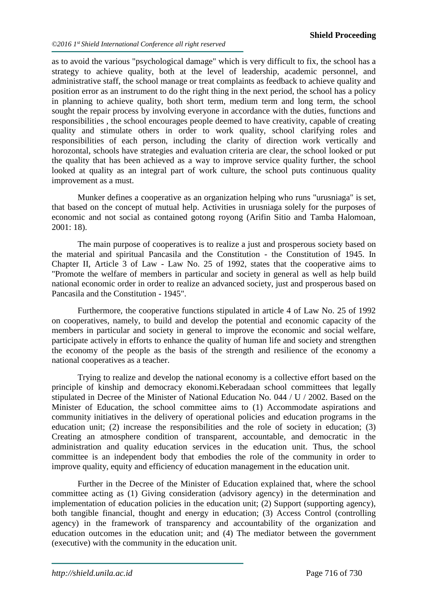as to avoid the various "psychological damage" which is very difficult to fix, the school has a strategy to achieve quality, both at the level of leadership, academic personnel, and administrative staff, the school manage or treat complaints as feedback to achieve quality and position error as an instrument to do the right thing in the next period, the school has a policy in planning to achieve quality, both short term, medium term and long term, the school sought the repair process by involving everyone in accordance with the duties, functions and responsibilities , the school encourages people deemed to have creativity, capable of creating quality and stimulate others in order to work quality, school clarifying roles and responsibilities of each person, including the clarity of direction work vertically and horozontal, schools have strategies and evaluation criteria are clear, the school looked or put the quality that has been achieved as a way to improve service quality further, the school looked at quality as an integral part of work culture, the school puts continuous quality improvement as a must.

Munker defines a cooperative as an organization helping who runs "urusniaga" is set, that based on the concept of mutual help. Activities in urusniaga solely for the purposes of economic and not social as contained gotong royong (Arifin Sitio and Tamba Halomoan, 2001: 18).

The main purpose of cooperatives is to realize a just and prosperous society based on the material and spiritual Pancasila and the Constitution - the Constitution of 1945. In Chapter II, Article 3 of Law - Law No. 25 of 1992, states that the cooperative aims to "Promote the welfare of members in particular and society in general as well as help build national economic order in order to realize an advanced society, just and prosperous based on Pancasila and the Constitution - 1945".

Furthermore, the cooperative functions stipulated in article 4 of Law No. 25 of 1992 on cooperatives, namely, to build and develop the potential and economic capacity of the members in particular and society in general to improve the economic and social welfare, participate actively in efforts to enhance the quality of human life and society and strengthen the economy of the people as the basis of the strength and resilience of the economy a national cooperatives as a teacher.

Trying to realize and develop the national economy is a collective effort based on the principle of kinship and democracy ekonomi.Keberadaan school committees that legally stipulated in Decree of the Minister of National Education No. 044 / U / 2002. Based on the Minister of Education, the school committee aims to (1) Accommodate aspirations and community initiatives in the delivery of operational policies and education programs in the education unit; (2) increase the responsibilities and the role of society in education; (3) Creating an atmosphere condition of transparent, accountable, and democratic in the administration and quality education services in the education unit. Thus, the school committee is an independent body that embodies the role of the community in order to improve quality, equity and efficiency of education management in the education unit.

Further in the Decree of the Minister of Education explained that, where the school committee acting as (1) Giving consideration (advisory agency) in the determination and implementation of education policies in the education unit; (2) Support (supporting agency), both tangible financial, thought and energy in education; (3) Access Control (controlling agency) in the framework of transparency and accountability of the organization and education outcomes in the education unit; and (4) The mediator between the government (executive) with the community in the education unit.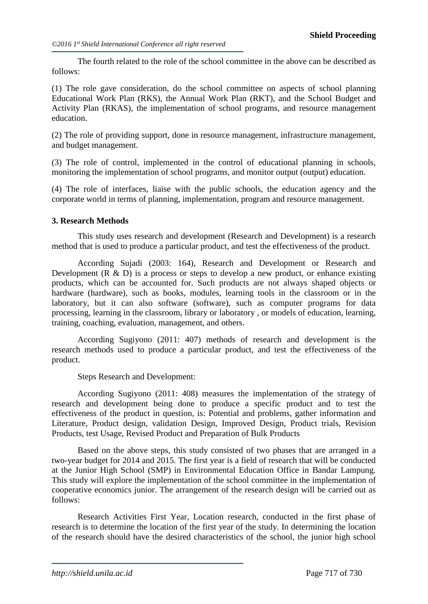The fourth related to the role of the school committee in the above can be described as follows:

(1) The role gave consideration, do the school committee on aspects of school planning Educational Work Plan (RKS), the Annual Work Plan (RKT), and the School Budget and Activity Plan (RKAS), the implementation of school programs, and resource management education.

(2) The role of providing support, done in resource management, infrastructure management, and budget management.

(3) The role of control, implemented in the control of educational planning in schools, monitoring the implementation of school programs, and monitor output (output) education.

(4) The role of interfaces, liaise with the public schools, the education agency and the corporate world in terms of planning, implementation, program and resource management.

#### **3. Research Methods**

This study uses research and development (Research and Development) is a research method that is used to produce a particular product, and test the effectiveness of the product.

According Sujadi (2003: 164), Research and Development or Research and Development  $(R \& D)$  is a process or steps to develop a new product, or enhance existing products, which can be accounted for. Such products are not always shaped objects or hardware (hardware), such as books, modules, learning tools in the classroom or in the laboratory, but it can also software (software), such as computer programs for data processing, learning in the classroom, library or laboratory , or models of education, learning, training, coaching, evaluation, management, and others.

According Sugiyono (2011: 407) methods of research and development is the research methods used to produce a particular product, and test the effectiveness of the product.

Steps Research and Development:

According Sugiyono (2011: 408) measures the implementation of the strategy of research and development being done to produce a specific product and to test the effectiveness of the product in question, is: Potential and problems, gather information and Literature, Product design, validation Design, Improved Design, Product trials, Revision Products, test Usage, Revised Product and Preparation of Bulk Products

Based on the above steps, this study consisted of two phases that are arranged in a two-year budget for 2014 and 2015. The first year is a field of research that will be conducted at the Junior High School (SMP) in Environmental Education Office in Bandar Lampung. This study will explore the implementation of the school committee in the implementation of cooperative economics junior. The arrangement of the research design will be carried out as follows:

Research Activities First Year, Location research, conducted in the first phase of research is to determine the location of the first year of the study. In determining the location of the research should have the desired characteristics of the school, the junior high school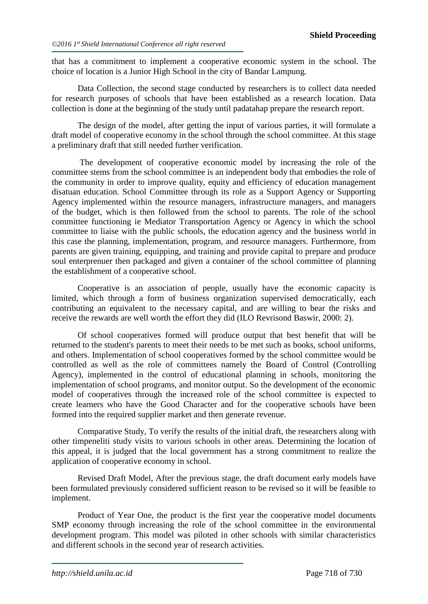that has a commitment to implement a cooperative economic system in the school. The choice of location is a Junior High School in the city of Bandar Lampung.

Data Collection, the second stage conducted by researchers is to collect data needed for research purposes of schools that have been established as a research location. Data collection is done at the beginning of the study until padatahap prepare the research report.

The design of the model, after getting the input of various parties, it will formulate a draft model of cooperative economy in the school through the school committee. At this stage a preliminary draft that still needed further verification.

The development of cooperative economic model by increasing the role of the committee stems from the school committee is an independent body that embodies the role of the community in order to improve quality, equity and efficiency of education management disatuan education. School Committee through its role as a Support Agency or Supporting Agency implemented within the resource managers, infrastructure managers, and managers of the budget, which is then followed from the school to parents. The role of the school committee functioning ie Mediator Transportation Agency or Agency in which the school committee to liaise with the public schools, the education agency and the business world in this case the planning, implementation, program, and resource managers. Furthermore, from parents are given training, equipping, and training and provide capital to prepare and produce soul enterprenuer then packaged and given a container of the school committee of planning the establishment of a cooperative school.

Cooperative is an association of people, usually have the economic capacity is limited, which through a form of business organization supervised democratically, each contributing an equivalent to the necessary capital, and are willing to bear the risks and receive the rewards are well worth the effort they did (ILO Revrisond Baswir, 2000: 2).

Of school cooperatives formed will produce output that best benefit that will be returned to the student's parents to meet their needs to be met such as books, school uniforms, and others. Implementation of school cooperatives formed by the school committee would be controlled as well as the role of committees namely the Board of Control (Controlling Agency), implemented in the control of educational planning in schools, monitoring the implementation of school programs, and monitor output. So the development of the economic model of cooperatives through the increased role of the school committee is expected to create learners who have the Good Character and for the cooperative schools have been formed into the required supplier market and then generate revenue.

Comparative Study, To verify the results of the initial draft, the researchers along with other timpeneliti study visits to various schools in other areas. Determining the location of this appeal, it is judged that the local government has a strong commitment to realize the application of cooperative economy in school.

Revised Draft Model, After the previous stage, the draft document early models have been formulated previously considered sufficient reason to be revised so it will be feasible to implement.

Product of Year One, the product is the first year the cooperative model documents SMP economy through increasing the role of the school committee in the environmental development program. This model was piloted in other schools with similar characteristics and different schools in the second year of research activities.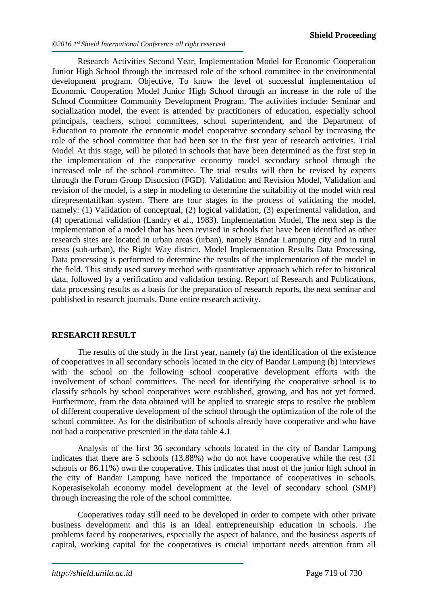Research Activities Second Year, Implementation Model for Economic Cooperation Junior High School through the increased role of the school committee in the environmental development program. Objective, To know the level of successful implementation of Economic Cooperation Model Junior High School through an increase in the role of the School Committee Community Development Program. The activities include: Seminar and socialization model, the event is attended by practitioners of education, especially school principals, teachers, school committees, school superintendent, and the Department of Education to promote the economic model cooperative secondary school by increasing the role of the school committee that had been set in the first year of research activities. Trial Model At this stage, will be piloted in schools that have been determined as the first step in the implementation of the cooperative economy model secondary school through the increased role of the school committee. The trial results will then be revised by experts through the Forum Group Disucsion (FGD). Validation and Revision Model, Validation and revision of the model, is a step in modeling to determine the suitability of the model with real direpresentatifkan system. There are four stages in the process of validating the model, namely: (1) Validation of conceptual, (2) logical validation, (3) experimental validation, and (4) operational validation (Landry et al., 1983). Implementation Model, The next step is the implementation of a model that has been revised in schools that have been identified as other research sites are located in urban areas (urban), namely Bandar Lampung city and in rural areas (sub-urban), the Right Way district. Model Implementation Results Data Processing, Data processing is performed to determine the results of the implementation of the model in the field. This study used survey method with quantitative approach which refer to historical data, followed by a verification and validation testing. Report of Research and Publications, data processing results as a basis for the preparation of research reports, the next seminar and published in research journals. Done entire research activity.

#### **RESEARCH RESULT**

The results of the study in the first year, namely (a) the identification of the existence of cooperatives in all secondary schools located in the city of Bandar Lampung (b) interviews with the school on the following school cooperative development efforts with the involvement of school committees. The need for identifying the cooperative school is to classify schools by school cooperatives were established, growing, and has not yet formed. Furthermore, from the data obtained will be applied to strategic steps to resolve the problem of different cooperative development of the school through the optimization of the role of the school committee. As for the distribution of schools already have cooperative and who have not had a cooperative presented in the data table 4.1

Analysis of the first 36 secondary schools located in the city of Bandar Lampung indicates that there are 5 schools (13.88%) who do not have cooperative while the rest (31 schools or 86.11%) own the cooperative. This indicates that most of the junior high school in the city of Bandar Lampung have noticed the importance of cooperatives in schools. Koperasisekolah economy model development at the level of secondary school (SMP) through increasing the role of the school committee.

Cooperatives today still need to be developed in order to compete with other private business development and this is an ideal entrepreneurship education in schools. The problems faced by cooperatives, especially the aspect of balance, and the business aspects of capital, working capital for the cooperatives is crucial important needs attention from all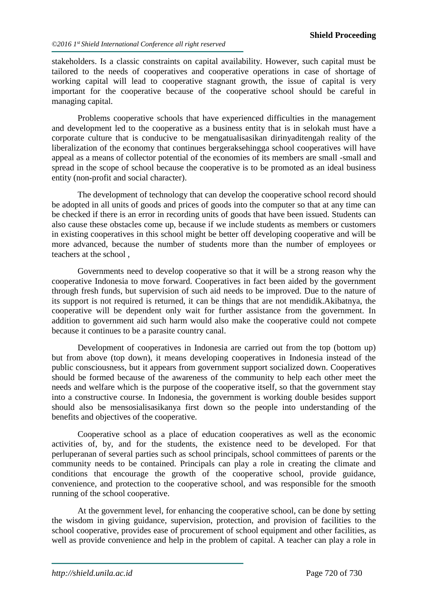stakeholders. Is a classic constraints on capital availability. However, such capital must be tailored to the needs of cooperatives and cooperative operations in case of shortage of working capital will lead to cooperative stagnant growth, the issue of capital is very important for the cooperative because of the cooperative school should be careful in managing capital.

Problems cooperative schools that have experienced difficulties in the management and development led to the cooperative as a business entity that is in selokah must have a corporate culture that is conducive to be mengatualisasikan dirinyaditengah reality of the liberalization of the economy that continues bergeraksehingga school cooperatives will have appeal as a means of collector potential of the economies of its members are small -small and spread in the scope of school because the cooperative is to be promoted as an ideal business entity (non-profit and social character).

The development of technology that can develop the cooperative school record should be adopted in all units of goods and prices of goods into the computer so that at any time can be checked if there is an error in recording units of goods that have been issued. Students can also cause these obstacles come up, because if we include students as members or customers in existing cooperatives in this school might be better off developing cooperative and will be more advanced, because the number of students more than the number of employees or teachers at the school ,

Governments need to develop cooperative so that it will be a strong reason why the cooperative Indonesia to move forward. Cooperatives in fact been aided by the government through fresh funds, but supervision of such aid needs to be improved. Due to the nature of its support is not required is returned, it can be things that are not mendidik.Akibatnya, the cooperative will be dependent only wait for further assistance from the government. In addition to government aid such harm would also make the cooperative could not compete because it continues to be a parasite country canal.

Development of cooperatives in Indonesia are carried out from the top (bottom up) but from above (top down), it means developing cooperatives in Indonesia instead of the public consciousness, but it appears from government support socialized down. Cooperatives should be formed because of the awareness of the community to help each other meet the needs and welfare which is the purpose of the cooperative itself, so that the government stay into a constructive course. In Indonesia, the government is working double besides support should also be mensosialisasikanya first down so the people into understanding of the benefits and objectives of the cooperative.

Cooperative school as a place of education cooperatives as well as the economic activities of, by, and for the students, the existence need to be developed. For that perluperanan of several parties such as school principals, school committees of parents or the community needs to be contained. Principals can play a role in creating the climate and conditions that encourage the growth of the cooperative school, provide guidance, convenience, and protection to the cooperative school, and was responsible for the smooth running of the school cooperative.

At the government level, for enhancing the cooperative school, can be done by setting the wisdom in giving guidance, supervision, protection, and provision of facilities to the school cooperative, provides ease of procurement of school equipment and other facilities, as well as provide convenience and help in the problem of capital. A teacher can play a role in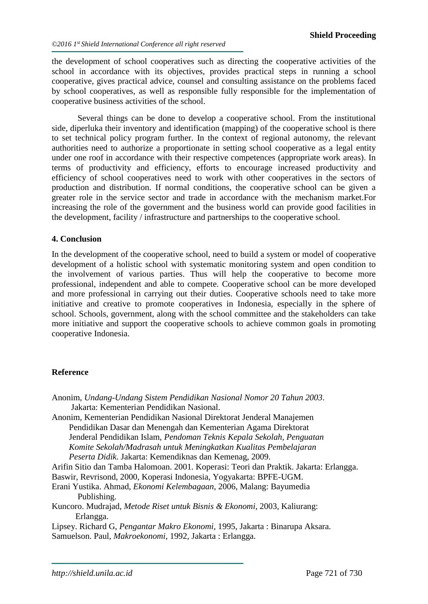the development of school cooperatives such as directing the cooperative activities of the school in accordance with its objectives, provides practical steps in running a school cooperative, gives practical advice, counsel and consulting assistance on the problems faced by school cooperatives, as well as responsible fully responsible for the implementation of cooperative business activities of the school.

Several things can be done to develop a cooperative school. From the institutional side, diperluka their inventory and identification (mapping) of the cooperative school is there to set technical policy program further. In the context of regional autonomy, the relevant authorities need to authorize a proportionate in setting school cooperative as a legal entity under one roof in accordance with their respective competences (appropriate work areas). In terms of productivity and efficiency, efforts to encourage increased productivity and efficiency of school cooperatives need to work with other cooperatives in the sectors of production and distribution. If normal conditions, the cooperative school can be given a greater role in the service sector and trade in accordance with the mechanism market.For increasing the role of the government and the business world can provide good facilities in the development, facility / infrastructure and partnerships to the cooperative school.

#### **4. Conclusion**

In the development of the cooperative school, need to build a system or model of cooperative development of a holistic school with systematic monitoring system and open condition to the involvement of various parties. Thus will help the cooperative to become more professional, independent and able to compete. Cooperative school can be more developed and more professional in carrying out their duties. Cooperative schools need to take more initiative and creative to promote cooperatives in Indonesia, especially in the sphere of school. Schools, government, along with the school committee and the stakeholders can take more initiative and support the cooperative schools to achieve common goals in promoting cooperative Indonesia.

#### **Reference**

| Anonim, Undang-Undang Sistem Pendidikan Nasional Nomor 20 Tahun 2003.                  |
|----------------------------------------------------------------------------------------|
| Jakarta: Kementerian Pendidikan Nasional.                                              |
| Anonim, Kementerian Pendidikan Nasional Direktorat Jenderal Manajemen                  |
| Pendidikan Dasar dan Menengah dan Kementerian Agama Direktorat                         |
| Jenderal Pendidikan Islam, Pendoman Teknis Kepala Sekolah, Penguatan                   |
| Komite Sekolah/Madrasah untuk Meningkatkan Kualitas Pembelajaran                       |
| Peserta Didik. Jakarta: Kemendiknas dan Kemenag, 2009.                                 |
| Arifin Sitio dan Tamba Halomoan. 2001. Koperasi: Teori dan Praktik. Jakarta: Erlangga. |
| Baswir, Revrisond, 2000, Koperasi Indonesia, Yogyakarta: BPFE-UGM.                     |
| Erani Yustika. Ahmad, <i>Ekonomi Kelembagaan</i> , 2006, Malang: Bayumedia             |
| Publishing.                                                                            |
| Kuncoro. Mudrajad, <i>Metode Riset untuk Bisnis &amp; Ekonomi</i> , 2003, Kaliurang:   |
| Erlangga.                                                                              |
| Lipsey. Richard G, <i>Pengantar Makro Ekonomi</i> , 1995, Jakarta : Binarupa Aksara.   |
| Samuelson. Paul, <i>Makroekonomi</i> , 1992, Jakarta : Erlangga.                       |
|                                                                                        |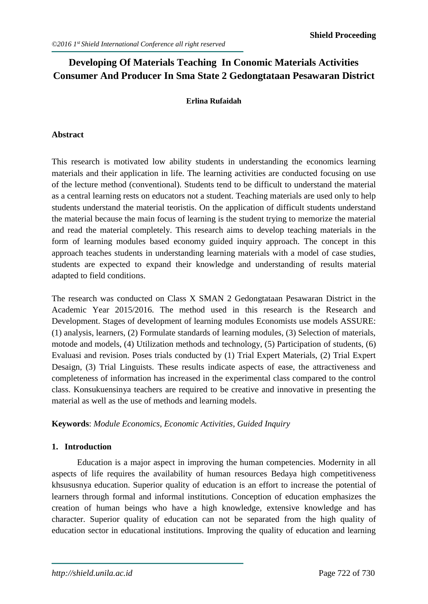#### **Developing Of Materials Teaching In Conomic Materials Activities Consumer And Producer In Sma State 2 Gedongtataan Pesawaran District**

#### **Erlina Rufaidah**

#### **Abstract**

This research is motivated low ability students in understanding the economics learning materials and their application in life. The learning activities are conducted focusing on use of the lecture method (conventional). Students tend to be difficult to understand the material as a central learning rests on educators not a student. Teaching materials are used only to help students understand the material teoristis. On the application of difficult students understand the material because the main focus of learning is the student trying to memorize the material and read the material completely. This research aims to develop teaching materials in the form of learning modules based economy guided inquiry approach. The concept in this approach teaches students in understanding learning materials with a model of case studies, students are expected to expand their knowledge and understanding of results material adapted to field conditions.

The research was conducted on Class X SMAN 2 Gedongtataan Pesawaran District in the Academic Year 2015/2016. The method used in this research is the Research and Development. Stages of development of learning modules Economists use models ASSURE: (1) analysis, learners, (2) Formulate standards of learning modules, (3) Selection of materials, motode and models, (4) Utilization methods and technology, (5) Participation of students, (6) Evaluasi and revision. Poses trials conducted by (1) Trial Expert Materials, (2) Trial Expert Desaign, (3) Trial Linguists. These results indicate aspects of ease, the attractiveness and completeness of information has increased in the experimental class compared to the control class. Konsukuensinya teachers are required to be creative and innovative in presenting the material as well as the use of methods and learning models.

**Keywords**: *Module Economics, Economic Activities, Guided Inquiry*

#### **1. Introduction**

Education is a major aspect in improving the human competencies. Modernity in all aspects of life requires the availability of human resources Bedaya high competitiveness khsususnya education. Superior quality of education is an effort to increase the potential of learners through formal and informal institutions. Conception of education emphasizes the creation of human beings who have a high knowledge, extensive knowledge and has character. Superior quality of education can not be separated from the high quality of education sector in educational institutions. Improving the quality of education and learning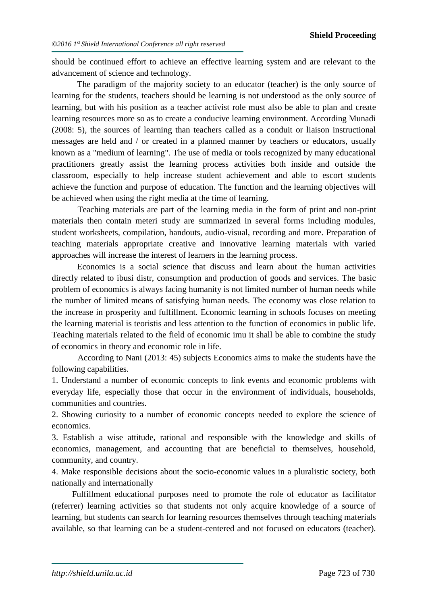should be continued effort to achieve an effective learning system and are relevant to the advancement of science and technology.

The paradigm of the majority society to an educator (teacher) is the only source of learning for the students, teachers should be learning is not understood as the only source of learning, but with his position as a teacher activist role must also be able to plan and create learning resources more so as to create a conducive learning environment. According Munadi (2008: 5), the sources of learning than teachers called as a conduit or liaison instructional messages are held and / or created in a planned manner by teachers or educators, usually known as a "medium of learning". The use of media or tools recognized by many educational practitioners greatly assist the learning process activities both inside and outside the classroom, especially to help increase student achievement and able to escort students achieve the function and purpose of education. The function and the learning objectives will be achieved when using the right media at the time of learning.

Teaching materials are part of the learning media in the form of print and non-print materials then contain meteri study are summarized in several forms including modules, student worksheets, compilation, handouts, audio-visual, recording and more. Preparation of teaching materials appropriate creative and innovative learning materials with varied approaches will increase the interest of learners in the learning process.

Economics is a social science that discuss and learn about the human activities directly related to ibusi distr, consumption and production of goods and services. The basic problem of economics is always facing humanity is not limited number of human needs while the number of limited means of satisfying human needs. The economy was close relation to the increase in prosperity and fulfillment. Economic learning in schools focuses on meeting the learning material is teoristis and less attention to the function of economics in public life. Teaching materials related to the field of economic imu it shall be able to combine the study of economics in theory and economic role in life.

According to Nani (2013: 45) subjects Economics aims to make the students have the following capabilities.

1. Understand a number of economic concepts to link events and economic problems with everyday life, especially those that occur in the environment of individuals, households, communities and countries.

2. Showing curiosity to a number of economic concepts needed to explore the science of economics.

3. Establish a wise attitude, rational and responsible with the knowledge and skills of economics, management, and accounting that are beneficial to themselves, household, community, and country.

4. Make responsible decisions about the socio-economic values in a pluralistic society, both nationally and internationally

Fulfillment educational purposes need to promote the role of educator as facilitator (referrer) learning activities so that students not only acquire knowledge of a source of learning, but students can search for learning resources themselves through teaching materials available, so that learning can be a student-centered and not focused on educators (teacher).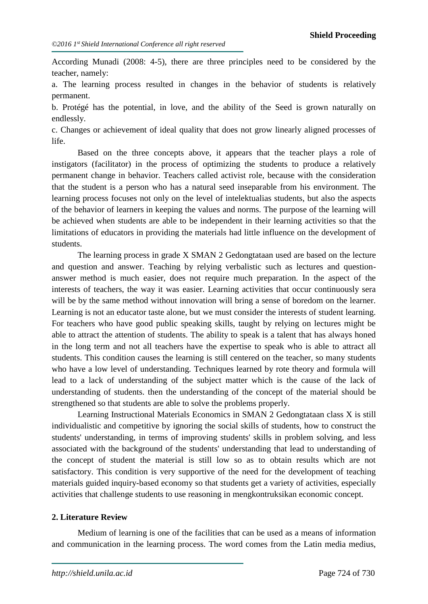According Munadi (2008: 4-5), there are three principles need to be considered by the teacher, namely:

a. The learning process resulted in changes in the behavior of students is relatively permanent.

b. Protégé has the potential, in love, and the ability of the Seed is grown naturally on endlessly.

c. Changes or achievement of ideal quality that does not grow linearly aligned processes of life.

Based on the three concepts above, it appears that the teacher plays a role of instigators (facilitator) in the process of optimizing the students to produce a relatively permanent change in behavior. Teachers called activist role, because with the consideration that the student is a person who has a natural seed inseparable from his environment. The learning process focuses not only on the level of intelektualias students, but also the aspects of the behavior of learners in keeping the values and norms. The purpose of the learning will be achieved when students are able to be independent in their learning activities so that the limitations of educators in providing the materials had little influence on the development of students.

The learning process in grade X SMAN 2 Gedongtataan used are based on the lecture and question and answer. Teaching by relying verbalistic such as lectures and questionanswer method is much easier, does not require much preparation. In the aspect of the interests of teachers, the way it was easier. Learning activities that occur continuously sera will be by the same method without innovation will bring a sense of boredom on the learner. Learning is not an educator taste alone, but we must consider the interests of student learning. For teachers who have good public speaking skills, taught by relying on lectures might be able to attract the attention of students. The ability to speak is a talent that has always honed in the long term and not all teachers have the expertise to speak who is able to attract all students. This condition causes the learning is still centered on the teacher, so many students who have a low level of understanding. Techniques learned by rote theory and formula will lead to a lack of understanding of the subject matter which is the cause of the lack of understanding of students. then the understanding of the concept of the material should be strengthened so that students are able to solve the problems properly.

Learning Instructional Materials Economics in SMAN 2 Gedongtataan class X is still individualistic and competitive by ignoring the social skills of students, how to construct the students' understanding, in terms of improving students' skills in problem solving, and less associated with the background of the students' understanding that lead to understanding of the concept of student the material is still low so as to obtain results which are not satisfactory. This condition is very supportive of the need for the development of teaching materials guided inquiry-based economy so that students get a variety of activities, especially activities that challenge students to use reasoning in mengkontruksikan economic concept.

#### **2. Literature Review**

Medium of learning is one of the facilities that can be used as a means of information and communication in the learning process. The word comes from the Latin media medius,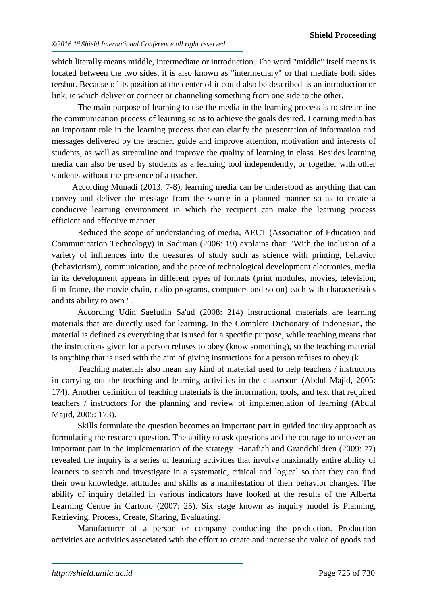which literally means middle, intermediate or introduction. The word "middle" itself means is located between the two sides, it is also known as "intermediary" or that mediate both sides tersbut. Because of its position at the center of it could also be described as an introduction or link, ie which deliver or connect or channeling something from one side to the other.

The main purpose of learning to use the media in the learning process is to streamline the communication process of learning so as to achieve the goals desired. Learning media has an important role in the learning process that can clarify the presentation of information and messages delivered by the teacher, guide and improve attention, motivation and interests of students, as well as streamline and improve the quality of learning in class. Besides learning media can also be used by students as a learning tool independently, or together with other students without the presence of a teacher.

According Munadi (2013: 7-8), learning media can be understood as anything that can convey and deliver the message from the source in a planned manner so as to create a conducive learning environment in which the recipient can make the learning process efficient and effective manner.

Reduced the scope of understanding of media, AECT (Association of Education and Communication Technology) in Sadiman (2006: 19) explains that: "With the inclusion of a variety of influences into the treasures of study such as science with printing, behavior (behaviorism), communication, and the pace of technological development electronics, media in its development appears in different types of formats (print modules, movies, television, film frame, the movie chain, radio programs, computers and so on) each with characteristics and its ability to own ".

According Udin Saefudin Sa'ud (2008: 214) instructional materials are learning materials that are directly used for learning. In the Complete Dictionary of Indonesian, the material is defined as everything that is used for a specific purpose, while teaching means that the instructions given for a person refuses to obey (know something), so the teaching material is anything that is used with the aim of giving instructions for a person refuses to obey (k

Teaching materials also mean any kind of material used to help teachers / instructors in carrying out the teaching and learning activities in the classroom (Abdul Majid, 2005: 174). Another definition of teaching materials is the information, tools, and text that required teachers / instructors for the planning and review of implementation of learning (Abdul Majid, 2005: 173).

Skills formulate the question becomes an important part in guided inquiry approach as formulating the research question. The ability to ask questions and the courage to uncover an important part in the implementation of the strategy. Hanafiah and Grandchildren (2009: 77) revealed the inquiry is a series of learning activities that involve maximally entire ability of learners to search and investigate in a systematic, critical and logical so that they can find their own knowledge, attitudes and skills as a manifestation of their behavior changes. The ability of inquiry detailed in various indicators have looked at the results of the Alberta Learning Centre in Cartono (2007: 25). Six stage known as inquiry model is Planning, Retrieving, Process, Create, Sharing, Evaluating.

Manufacturer of a person or company conducting the production. Production activities are activities associated with the effort to create and increase the value of goods and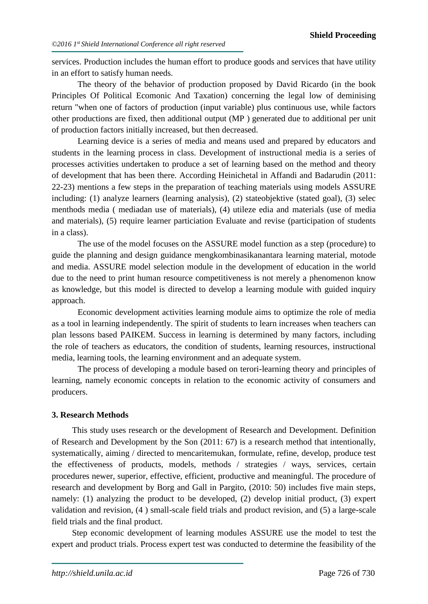services. Production includes the human effort to produce goods and services that have utility in an effort to satisfy human needs.

The theory of the behavior of production proposed by David Ricardo (in the book Principles Of Political Ecomonic And Taxation) concerning the legal low of deminising return "when one of factors of production (input variable) plus continuous use, while factors other productions are fixed, then additional output (MP ) generated due to additional per unit of production factors initially increased, but then decreased.

Learning device is a series of media and means used and prepared by educators and students in the learning process in class. Development of instructional media is a series of processes activities undertaken to produce a set of learning based on the method and theory of development that has been there. According Heinichetal in Affandi and Badarudin (2011: 22-23) mentions a few steps in the preparation of teaching materials using models ASSURE including: (1) analyze learners (learning analysis), (2) stateobjektive (stated goal), (3) selec menthods media ( mediadan use of materials), (4) utileze edia and materials (use of media and materials), (5) require learner particiation Evaluate and revise (participation of students in a class).

The use of the model focuses on the ASSURE model function as a step (procedure) to guide the planning and design guidance mengkombinasikanantara learning material, motode and media. ASSURE model selection module in the development of education in the world due to the need to print human resource competitiveness is not merely a phenomenon know as knowledge, but this model is directed to develop a learning module with guided inquiry approach.

Economic development activities learning module aims to optimize the role of media as a tool in learning independently. The spirit of students to learn increases when teachers can plan lessons based PAIKEM. Success in learning is determined by many factors, including the role of teachers as educators, the condition of students, learning resources, instructional media, learning tools, the learning environment and an adequate system.

The process of developing a module based on terori-learning theory and principles of learning, namely economic concepts in relation to the economic activity of consumers and producers.

#### **3. Research Methods**

This study uses research or the development of Research and Development. Definition of Research and Development by the Son (2011: 67) is a research method that intentionally, systematically, aiming / directed to mencaritemukan, formulate, refine, develop, produce test the effectiveness of products, models, methods / strategies / ways, services, certain procedures newer, superior, effective, efficient, productive and meaningful. The procedure of research and development by Borg and Gall in Pargito, (2010: 50) includes five main steps, namely: (1) analyzing the product to be developed, (2) develop initial product, (3) expert validation and revision, (4 ) small-scale field trials and product revision, and (5) a large-scale field trials and the final product.

Step economic development of learning modules ASSURE use the model to test the expert and product trials. Process expert test was conducted to determine the feasibility of the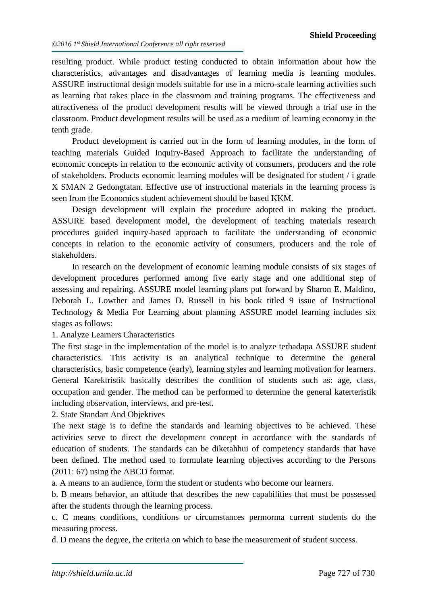resulting product. While product testing conducted to obtain information about how the characteristics, advantages and disadvantages of learning media is learning modules. ASSURE instructional design models suitable for use in a micro-scale learning activities such as learning that takes place in the classroom and training programs. The effectiveness and attractiveness of the product development results will be viewed through a trial use in the classroom. Product development results will be used as a medium of learning economy in the tenth grade.

Product development is carried out in the form of learning modules, in the form of teaching materials Guided Inquiry-Based Approach to facilitate the understanding of economic concepts in relation to the economic activity of consumers, producers and the role of stakeholders. Products economic learning modules will be designated for student / i grade X SMAN 2 Gedongtatan. Effective use of instructional materials in the learning process is seen from the Economics student achievement should be based KKM.

Design development will explain the procedure adopted in making the product. ASSURE based development model, the development of teaching materials research procedures guided inquiry-based approach to facilitate the understanding of economic concepts in relation to the economic activity of consumers, producers and the role of stakeholders.

In research on the development of economic learning module consists of six stages of development procedures performed among five early stage and one additional step of assessing and repairing. ASSURE model learning plans put forward by Sharon E. Maldino, Deborah L. Lowther and James D. Russell in his book titled 9 issue of Instructional Technology & Media For Learning about planning ASSURE model learning includes six stages as follows:

1. Analyze Learners Characteristics

The first stage in the implementation of the model is to analyze terhadapa ASSURE student characteristics. This activity is an analytical technique to determine the general characteristics, basic competence (early), learning styles and learning motivation for learners. General Karektristik basically describes the condition of students such as: age, class, occupation and gender. The method can be performed to determine the general katerteristik including observation, interviews, and pre-test.

2. State Standart And Objektives

The next stage is to define the standards and learning objectives to be achieved. These activities serve to direct the development concept in accordance with the standards of education of students. The standards can be diketahhui of competency standards that have been defined. The method used to formulate learning objectives according to the Persons (2011: 67) using the ABCD format.

a. A means to an audience, form the student or students who become our learners.

b. B means behavior, an attitude that describes the new capabilities that must be possessed after the students through the learning process.

c. C means conditions, conditions or circumstances permorma current students do the measuring process.

d. D means the degree, the criteria on which to base the measurement of student success.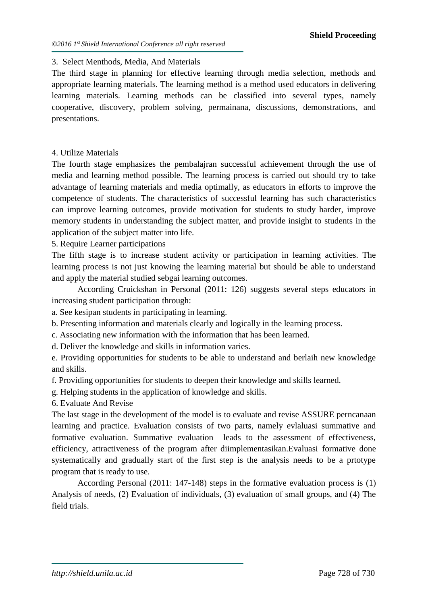#### 3. Select Menthods, Media, And Materials

The third stage in planning for effective learning through media selection, methods and appropriate learning materials. The learning method is a method used educators in delivering learning materials. Learning methods can be classified into several types, namely cooperative, discovery, problem solving, permainana, discussions, demonstrations, and presentations.

#### 4. Utilize Materials

The fourth stage emphasizes the pembalajran successful achievement through the use of media and learning method possible. The learning process is carried out should try to take advantage of learning materials and media optimally, as educators in efforts to improve the competence of students. The characteristics of successful learning has such characteristics can improve learning outcomes, provide motivation for students to study harder, improve memory students in understanding the subject matter, and provide insight to students in the application of the subject matter into life.

5. Require Learner participations

The fifth stage is to increase student activity or participation in learning activities. The learning process is not just knowing the learning material but should be able to understand and apply the material studied sebgai learning outcomes.

According Cruickshan in Personal (2011: 126) suggests several steps educators in increasing student participation through:

a. See kesipan students in participating in learning.

b. Presenting information and materials clearly and logically in the learning process.

- c. Associating new information with the information that has been learned.
- d. Deliver the knowledge and skills in information varies.

e. Providing opportunities for students to be able to understand and berlaih new knowledge and skills.

f. Providing opportunities for students to deepen their knowledge and skills learned.

g. Helping students in the application of knowledge and skills.

6. Evaluate And Revise

The last stage in the development of the model is to evaluate and revise ASSURE perncanaan learning and practice. Evaluation consists of two parts, namely evlaluasi summative and formative evaluation. Summative evaluation leads to the assessment of effectiveness, efficiency, attractiveness of the program after diimplementasikan.Evaluasi formative done systematically and gradually start of the first step is the analysis needs to be a prtotype program that is ready to use.

According Personal (2011: 147-148) steps in the formative evaluation process is (1) Analysis of needs, (2) Evaluation of individuals, (3) evaluation of small groups, and (4) The field trials.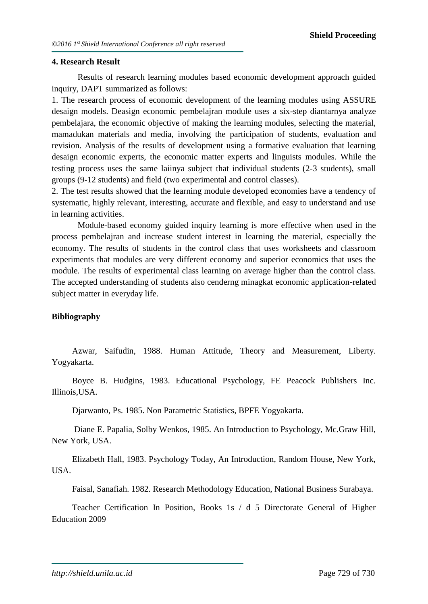#### **4. Research Result**

Results of research learning modules based economic development approach guided inquiry, DAPT summarized as follows:

1. The research process of economic development of the learning modules using ASSURE desaign models. Deasign economic pembelajran module uses a six-step diantarnya analyze pembelajara, the economic objective of making the learning modules, selecting the material, mamadukan materials and media, involving the participation of students, evaluation and revision. Analysis of the results of development using a formative evaluation that learning desaign economic experts, the economic matter experts and linguists modules. While the testing process uses the same laiinya subject that individual students (2-3 students), small groups (9-12 students) and field (two experimental and control classes).

2. The test results showed that the learning module developed economies have a tendency of systematic, highly relevant, interesting, accurate and flexible, and easy to understand and use in learning activities.

Module-based economy guided inquiry learning is more effective when used in the process pembelajran and increase student interest in learning the material, especially the economy. The results of students in the control class that uses worksheets and classroom experiments that modules are very different economy and superior economics that uses the module. The results of experimental class learning on average higher than the control class. The accepted understanding of students also cenderng minagkat economic application-related subject matter in everyday life.

#### **Bibliography**

Azwar, Saifudin, 1988. Human Attitude, Theory and Measurement, Liberty. Yogyakarta.

Boyce B. Hudgins, 1983. Educational Psychology, FE Peacock Publishers Inc. Illinois,USA.

Djarwanto, Ps. 1985. Non Parametric Statistics, BPFE Yogyakarta.

Diane E. Papalia, Solby Wenkos, 1985. An Introduction to Psychology, Mc.Graw Hill, New York, USA.

Elizabeth Hall, 1983. Psychology Today, An Introduction, Random House, New York, USA.

Faisal, Sanafiah. 1982. Research Methodology Education, National Business Surabaya.

Teacher Certification In Position, Books 1s / d 5 Directorate General of Higher Education 2009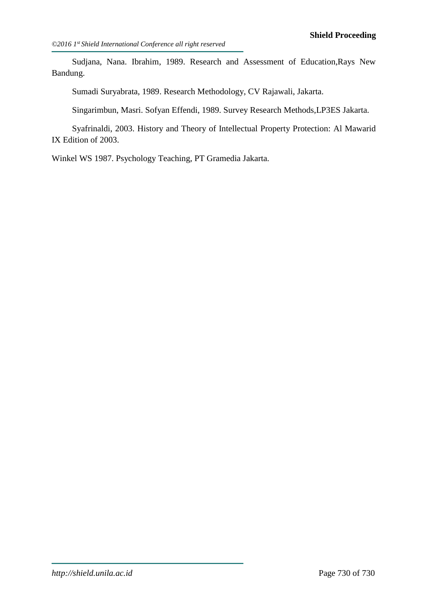Sudjana, Nana. Ibrahim, 1989. Research and Assessment of Education,Rays New Bandung.

Sumadi Suryabrata, 1989. Research Methodology, CV Rajawali, Jakarta.

Singarimbun, Masri. Sofyan Effendi, 1989. Survey Research Methods,LP3ES Jakarta.

Syafrinaldi, 2003. History and Theory of Intellectual Property Protection: Al Mawarid IX Edition of 2003.

Winkel WS 1987. Psychology Teaching, PT Gramedia Jakarta.